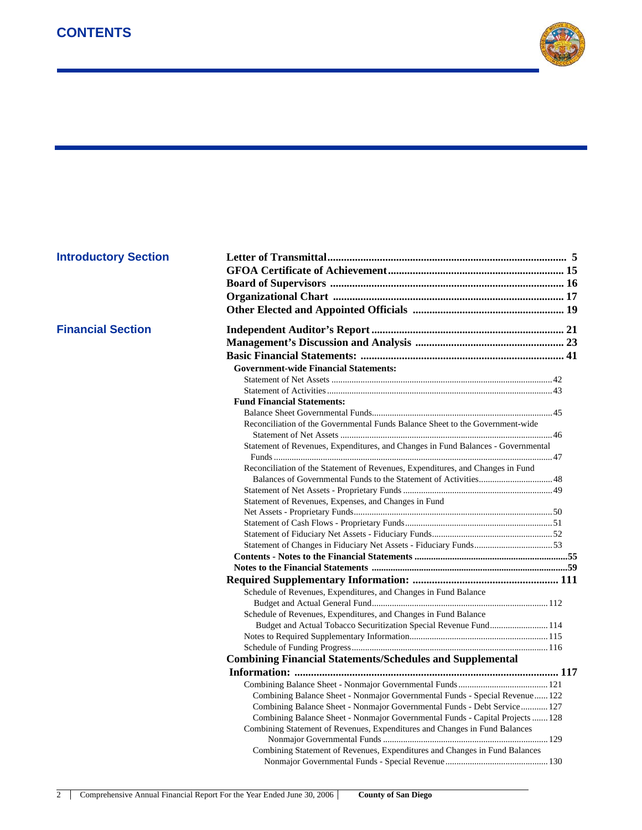

## **Financial Section**

| <b>Introductory Section</b> |                                                                                  |  |
|-----------------------------|----------------------------------------------------------------------------------|--|
|                             |                                                                                  |  |
|                             |                                                                                  |  |
|                             |                                                                                  |  |
|                             |                                                                                  |  |
|                             |                                                                                  |  |
| <b>Financial Section</b>    |                                                                                  |  |
|                             |                                                                                  |  |
|                             |                                                                                  |  |
|                             | <b>Government-wide Financial Statements:</b>                                     |  |
|                             |                                                                                  |  |
|                             |                                                                                  |  |
|                             | <b>Fund Financial Statements:</b>                                                |  |
|                             |                                                                                  |  |
|                             | Reconciliation of the Governmental Funds Balance Sheet to the Government-wide    |  |
|                             |                                                                                  |  |
|                             | Statement of Revenues, Expenditures, and Changes in Fund Balances - Governmental |  |
|                             |                                                                                  |  |
|                             | Reconciliation of the Statement of Revenues, Expenditures, and Changes in Fund   |  |
|                             |                                                                                  |  |
|                             |                                                                                  |  |
|                             | Statement of Revenues, Expenses, and Changes in Fund                             |  |
|                             |                                                                                  |  |
|                             |                                                                                  |  |
|                             |                                                                                  |  |
|                             |                                                                                  |  |
|                             |                                                                                  |  |
|                             |                                                                                  |  |
|                             |                                                                                  |  |
|                             | Schedule of Revenues, Expenditures, and Changes in Fund Balance                  |  |
|                             |                                                                                  |  |
|                             | Schedule of Revenues, Expenditures, and Changes in Fund Balance                  |  |
|                             | Budget and Actual Tobacco Securitization Special Revenue Fund 114                |  |
|                             |                                                                                  |  |
|                             |                                                                                  |  |
|                             | <b>Combining Financial Statements/Schedules and Supplemental</b>                 |  |
|                             |                                                                                  |  |
|                             |                                                                                  |  |
|                             | Combining Balance Sheet - Nonmajor Governmental Funds - Special Revenue122       |  |
|                             | Combining Balance Sheet - Nonmajor Governmental Funds - Debt Service 127         |  |
|                             | Combining Balance Sheet - Nonmajor Governmental Funds - Capital Projects  128    |  |
|                             | Combining Statement of Revenues, Expenditures and Changes in Fund Balances       |  |
|                             |                                                                                  |  |
|                             | Combining Statement of Revenues, Expenditures and Changes in Fund Balances       |  |
|                             |                                                                                  |  |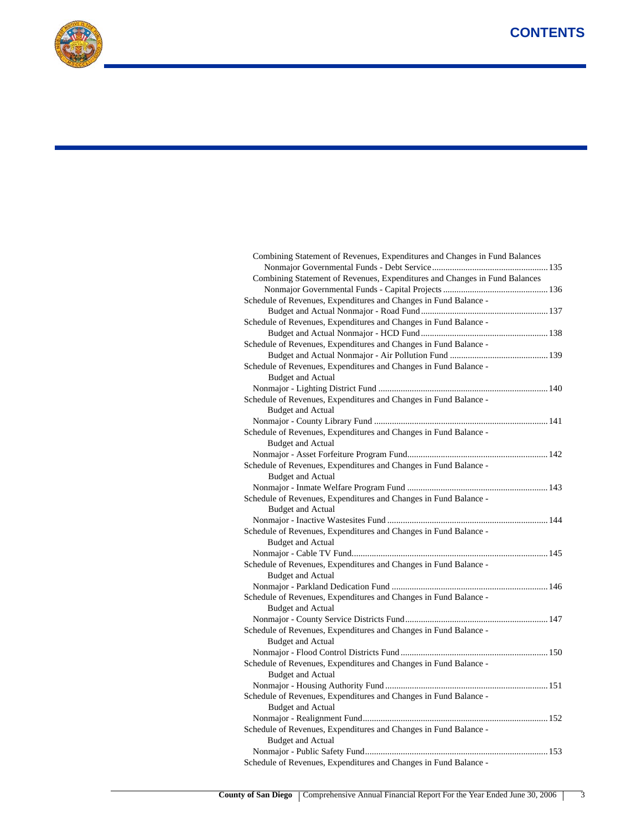

| Combining Statement of Revenues, Expenditures and Changes in Fund Balances |  |
|----------------------------------------------------------------------------|--|
|                                                                            |  |
| Schedule of Revenues, Expenditures and Changes in Fund Balance -           |  |
|                                                                            |  |
| Schedule of Revenues, Expenditures and Changes in Fund Balance -           |  |
|                                                                            |  |
| Schedule of Revenues, Expenditures and Changes in Fund Balance -           |  |
|                                                                            |  |
| Schedule of Revenues, Expenditures and Changes in Fund Balance -           |  |
| <b>Budget and Actual</b>                                                   |  |
|                                                                            |  |
| Schedule of Revenues, Expenditures and Changes in Fund Balance -           |  |
| <b>Budget and Actual</b>                                                   |  |
|                                                                            |  |
| Schedule of Revenues, Expenditures and Changes in Fund Balance -           |  |
| <b>Budget and Actual</b>                                                   |  |
|                                                                            |  |
| Schedule of Revenues, Expenditures and Changes in Fund Balance -           |  |
|                                                                            |  |
| <b>Budget and Actual</b>                                                   |  |
|                                                                            |  |
| Schedule of Revenues, Expenditures and Changes in Fund Balance -           |  |
| <b>Budget and Actual</b>                                                   |  |
|                                                                            |  |
| Schedule of Revenues, Expenditures and Changes in Fund Balance -           |  |
| <b>Budget and Actual</b>                                                   |  |
|                                                                            |  |
| Schedule of Revenues, Expenditures and Changes in Fund Balance -           |  |
| <b>Budget and Actual</b>                                                   |  |
|                                                                            |  |
| Schedule of Revenues, Expenditures and Changes in Fund Balance -           |  |
| <b>Budget and Actual</b>                                                   |  |
|                                                                            |  |
| Schedule of Revenues, Expenditures and Changes in Fund Balance -           |  |
| <b>Budget and Actual</b>                                                   |  |
|                                                                            |  |
| Schedule of Revenues, Expenditures and Changes in Fund Balance -           |  |
| <b>Budget and Actual</b>                                                   |  |
|                                                                            |  |
| Schedule of Revenues, Expenditures and Changes in Fund Balance -           |  |
| <b>Budget and Actual</b>                                                   |  |
|                                                                            |  |
| Schedule of Revenues, Expenditures and Changes in Fund Balance -           |  |
| <b>Budget and Actual</b>                                                   |  |
|                                                                            |  |
| Schedule of Revenues, Expenditures and Changes in Fund Balance -           |  |
|                                                                            |  |

Combining Statement of Revenues, Expenditures and Changes in Fund Balances